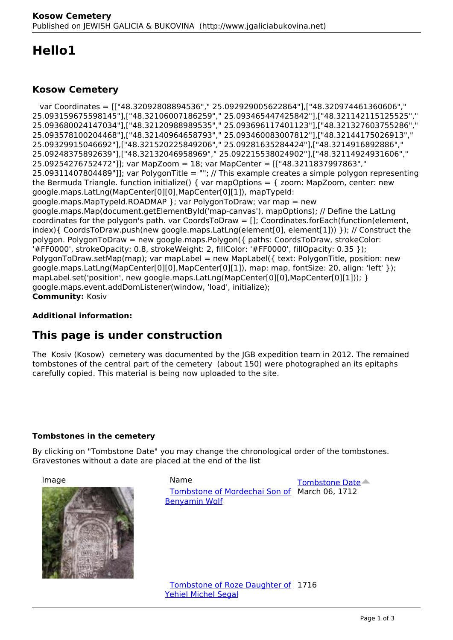# **Hello1**

### **Kosow Cemetery**

 var Coordinates = [["48.32092808894536"," 25.092929005622864"],["48.320974461360606"," 25.093159675598145"],["48.32106007186259"," 25.093465447425842"],["48.321142115125525"," 25.093680024147034"],["48.32120988989535"," 25.093696117401123"],["48.321327603755286"," 25.093578100204468"],["48.32140964658793"," 25.093460083007812"],["48.32144175026913"," 25.09329915046692"],["48.321520225849206"," 25.09281635284424"],["48.3214916892886"," 25.09248375892639"],["48.32132046958969"," 25.092215538024902"],["48.32114924931606"," 25.09254276752472"]]; var MapZoom = 18; var MapCenter = [["48.3211837997863"," 25.09311407804489"]]; var PolygonTitle = ""; // This example creates a simple polygon representing the Bermuda Triangle. function initialize() { var mapOptions =  $\{$  zoom: MapZoom, center: new google.maps.LatLng(MapCenter[0][0],MapCenter[0][1]), mapTypeId: google.maps.MapTypeId.ROADMAP }; var PolygonToDraw; var map = new google.maps.Map(document.getElementById('map-canvas'), mapOptions); // Define the LatLng coordinates for the polygon's path. var CoordsToDraw = []; Coordinates.forEach(function(element, index){ CoordsToDraw.push(new google.maps.LatLng(element[0], element[1])) }); // Construct the polygon. PolygonToDraw = new google.maps.Polygon({ paths: CoordsToDraw, strokeColor: '#FF0000', strokeOpacity: 0.8, strokeWeight: 2, fillColor: '#FF0000', fillOpacity: 0.35 }); PolygonToDraw.setMap(map); var mapLabel = new MapLabel( $\{$  text: PolygonTitle, position: new google.maps.LatLng(MapCenter[0][0],MapCenter[0][1]), map: map, fontSize: 20, align: 'left' }); mapLabel.set('position', new google.maps.LatLng(MapCenter[0][0],MapCenter[0][1])); } google.maps.event.addDomListener(window, 'load', initialize); **Community:** Kosiv

### **Additional information:**

## **This page is under construction**

The Kosiv (Kosow) cemetery was documented by the JGB expedition team in 2012. The remained tombstones of the central part of the cemetery (about 150) were photographed an its epitaphs carefully copied. This material is being now uploaded to the site.

#### **Tombstones in the cemetery**

By clicking on "Tombstone Date" you may change the chronological order of the tombstones. Gravestones without a date are placed at the end of the list



Image **Name** Name **[Tombstone Date](http://www.jgaliciabukovina.net/printpdf/160392?order=field_shared_approxidate&sort=desc)**  Tombstone of Mordechai Son of March 06, 1712 Benyamin Wolf

> **Tombstone of Roze Daughter of 1716** Yehiel Michel Segal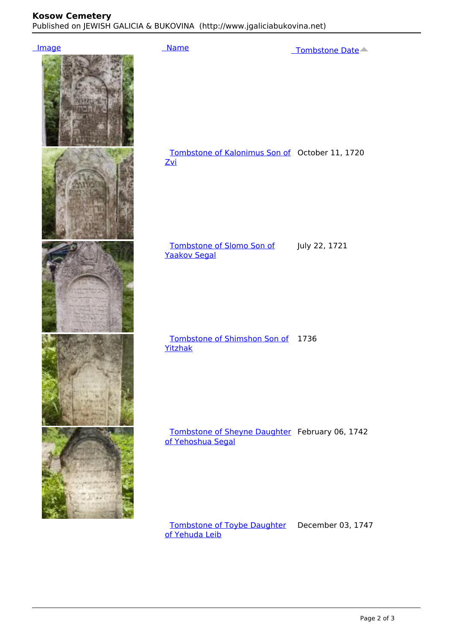### **Kosow Cemetery**

Published on JEWISH GALICIA & BUKOVINA (http://www.jgaliciabukovina.net)



 Tombstone of Toybe Daughter December 03, 1747 of Yehuda Leib